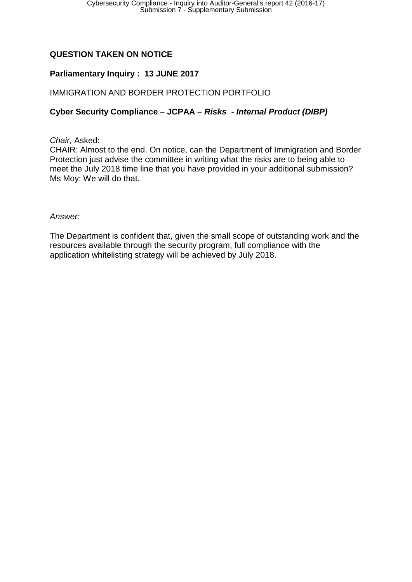# **QUESTION TAKEN ON NOTICE**

## **Parliamentary Inquiry : 13 JUNE 2017**

### IMMIGRATION AND BORDER PROTECTION PORTFOLIO

### **Cyber Security Compliance – JCPAA –** *Risks* **-** *Internal Product (DIBP)*

#### *Chair,* Asked:

CHAIR: Almost to the end. On notice, can the Department of Immigration and Border Protection just advise the committee in writing what the risks are to being able to meet the July 2018 time line that you have provided in your additional submission? Ms Moy: We will do that.

#### *Answer:*

The Department is confident that, given the small scope of outstanding work and the resources available through the security program, full compliance with the application whitelisting strategy will be achieved by July 2018.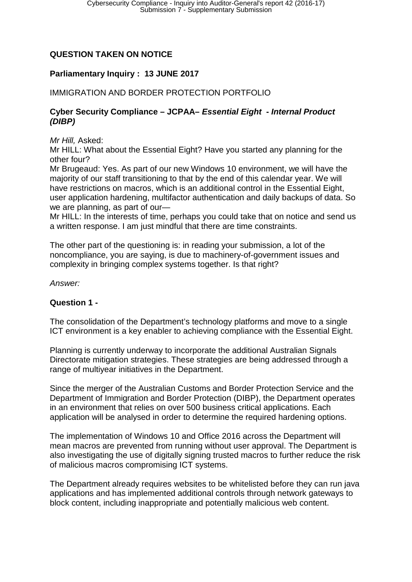# **QUESTION TAKEN ON NOTICE**

## **Parliamentary Inquiry : 13 JUNE 2017**

## IMMIGRATION AND BORDER PROTECTION PORTFOLIO

### **Cyber Security Compliance – JCPAA–** *Essential Eight* **-** *Internal Product (DIBP)*

*Mr Hill,* Asked:

Mr HILL: What about the Essential Eight? Have you started any planning for the other four?

Mr Brugeaud: Yes. As part of our new Windows 10 environment, we will have the majority of our staff transitioning to that by the end of this calendar year. We will have restrictions on macros, which is an additional control in the Essential Eight, user application hardening, multifactor authentication and daily backups of data. So we are planning, as part of our—

Mr HILL: In the interests of time, perhaps you could take that on notice and send us a written response. I am just mindful that there are time constraints.

The other part of the questioning is: in reading your submission, a lot of the noncompliance, you are saying, is due to machinery-of-government issues and complexity in bringing complex systems together. Is that right?

*Answer:*

### **Question 1 -**

The consolidation of the Department's technology platforms and move to a single ICT environment is a key enabler to achieving compliance with the Essential Eight.

Planning is currently underway to incorporate the additional Australian Signals Directorate mitigation strategies. These strategies are being addressed through a range of multiyear initiatives in the Department.

Since the merger of the Australian Customs and Border Protection Service and the Department of Immigration and Border Protection (DIBP), the Department operates in an environment that relies on over 500 business critical applications. Each application will be analysed in order to determine the required hardening options.

The implementation of Windows 10 and Office 2016 across the Department will mean macros are prevented from running without user approval. The Department is also investigating the use of digitally signing trusted macros to further reduce the risk of malicious macros compromising ICT systems.

The Department already requires websites to be whitelisted before they can run java applications and has implemented additional controls through network gateways to block content, including inappropriate and potentially malicious web content.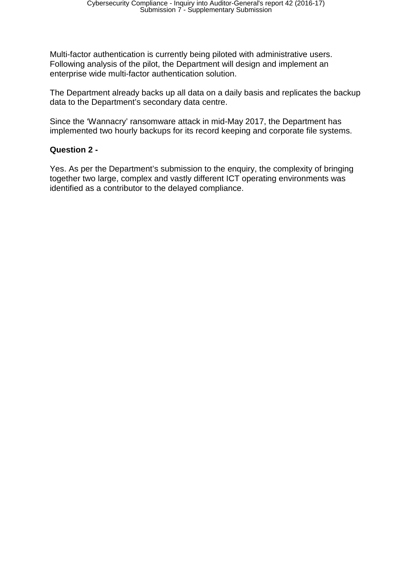Multi-factor authentication is currently being piloted with administrative users. Following analysis of the pilot, the Department will design and implement an enterprise wide multi-factor authentication solution.

The Department already backs up all data on a daily basis and replicates the backup data to the Department's secondary data centre.

Since the 'Wannacry' ransomware attack in mid-May 2017, the Department has implemented two hourly backups for its record keeping and corporate file systems.

## **Question 2 -**

Yes. As per the Department's submission to the enquiry, the complexity of bringing together two large, complex and vastly different ICT operating environments was identified as a contributor to the delayed compliance.